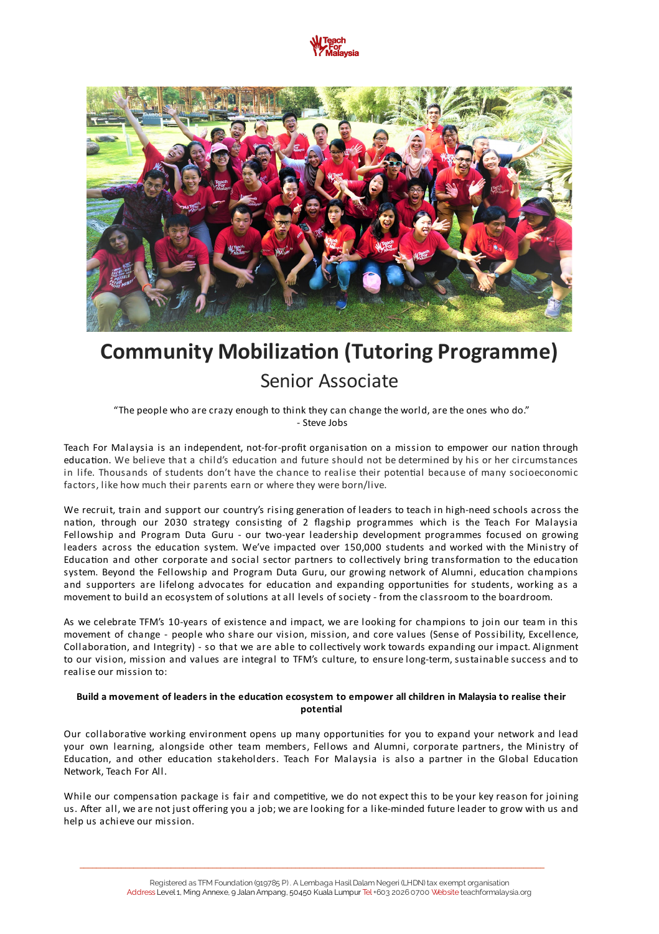



# **Community Mobilization (Tutoring Programme)** Senior Associate

"The people who are crazy enough to think they can change the world, are the ones who do." - Steve Jobs

Teach For Malaysia is an independent, not-for-profit organisation on a mission to empower our nation through education. We believe that a child's education and future should not be determined by his or her circumstances in life. Thousands of students don't have the chance to realise their potential because of many socioeconomic factors, like how much their parents earn or where they were born/live.

We recruit, train and support our country's rising generation of leaders to teach in high-need schools across the nation, through our 2030 strategy consisting of 2 flagship programmes which is the Teach For Malaysia Fellowship and Program Duta Guru - our two-year leadership development programmes focused on growing leaders across the education system. We've impacted over 150,000 students and worked with the Ministry of Education and other corporate and social sector partners to collectively bring transformation to the education system. Beyond the Fellowship and Program Duta Guru, our growing network of Alumni, education champions and supporters are lifelong advocates for education and expanding opportunities for students, working as a movement to build an ecosystem of solutions at all levels of society - from the classroom to the boardroom.

As we celebrate TFM's 10-years of existence and impact, we are looking for champions to join our team in this movement of change - people who share our vision, mission, and core values (Sense of Possibility, Excellence, Collaboration, and Integrity) - so that we are able to collectively work towards expanding our impact. Alignment to our vision, mission and values are integral to TFM's culture, to ensure long-term, sustainable success and to realise our mission to:

# Build a movement of leaders in the education ecosystem to empower all children in Malaysia to realise their **potenal**

Our collaborative working environment opens up many opportunities for you to expand your network and lead your own learning, alongside other team members, Fellows and Alumni, corporate partners, the Ministry of Education, and other education stakeholders. Teach For Malaysia is also a partner in the Global Education Network, Teach For All.

While our compensation package is fair and competitive, we do not expect this to be your key reason for joining us. After all, we are not just offering you a job; we are looking for a like-minded future leader to grow with us and help us achieve our mission.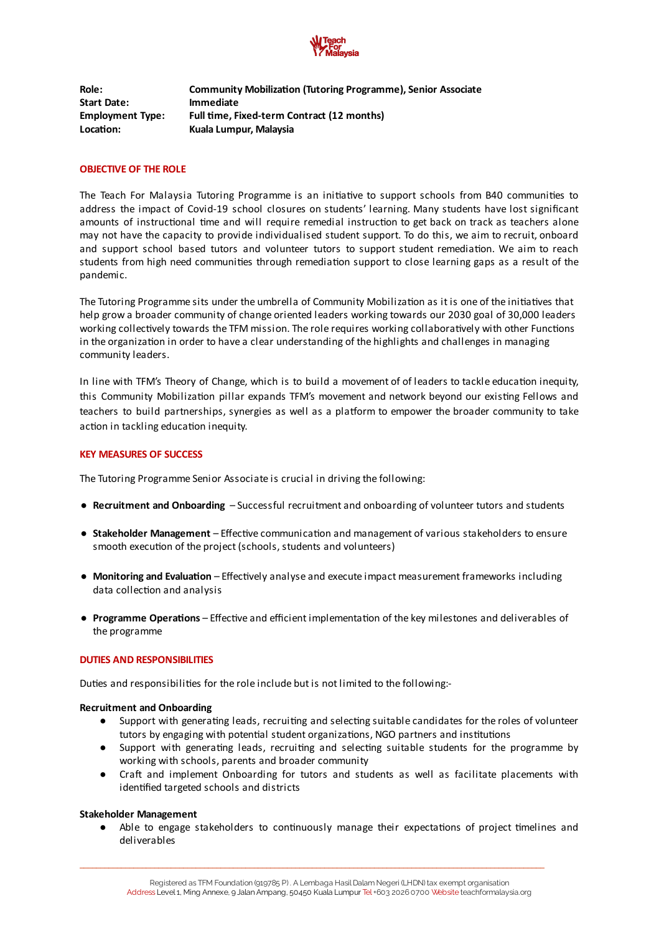

**Role: Community Mobilization (Tutoring Programme), Senior Associate Start Date: Immediate Employment Type: Full me, Fixed-term Contract (12 months) Locaon: Kuala Lumpur, Malaysia**

# **OBJECTIVE OF THE ROLE**

The Teach For Malaysia Tutoring Programme is an initiative to support schools from B40 communities to address the impact of Covid-19 school closures on students' learning. Many students have lost significant amounts of instructional time and will require remedial instruction to get back on track as teachers alone may not have the capacity to provide individualised student support. To do this, we aim to recruit, onboard and support school based tutors and volunteer tutors to support student remediation. We aim to reach students from high need communities through remediation support to close learning gaps as a result of the pandemic.

The Tutoring Programme sits under the umbrella of Community Mobilization as it is one of the initiatives that help grow a broader community of change oriented leaders working towards our 2030 goal of 30,000 leaders working collectively towards the TFM mission. The role requires working collaboratively with other Functions in the organization in order to have a clear understanding of the highlights and challenges in managing community leaders.

In line with TFM's Theory of Change, which is to build a movement of of leaders to tackle education inequity, this Community Mobilization pillar expands TFM's movement and network beyond our existing Fellows and teachers to build partnerships, synergies as well as a platform to empower the broader community to take action in tackling education inequity.

# **KEY MEASURES OF SUCCESS**

The Tutoring Programme Senior Associate is crucial in driving the following:

- **Recruitment and Onboarding** Successful recruitment and onboarding of volunteer tutors and students
- Stakeholder Management Effective communication and management of various stakeholders to ensure smooth execution of the project (schools, students and volunteers)
- **Monitoring and Evaluation** Effectively analyse and execute impact measurement frameworks including data collection and analysis
- **Programme Operations** Effective and efficient implementation of the key milestones and deliverables of the programme

# **DUTIES AND RESPONSIBILITIES**

Duties and responsibilities for the role include but is not limited to the following:-

#### **Recruitment and Onboarding**

- Support with generating leads, recruiting and selecting suitable candidates for the roles of volunteer tutors by engaging with potential student organizations, NGO partners and institutions
- Support with generating leads, recruiting and selecting suitable students for the programme by working with schools, parents and broader community
- Craft and implement Onboarding for tutors and students as well as facilitate placements with identified targeted schools and districts

#### **Stakeholder Management**

• Able to engage stakeholders to continuously manage their expectations of project timelines and deliverables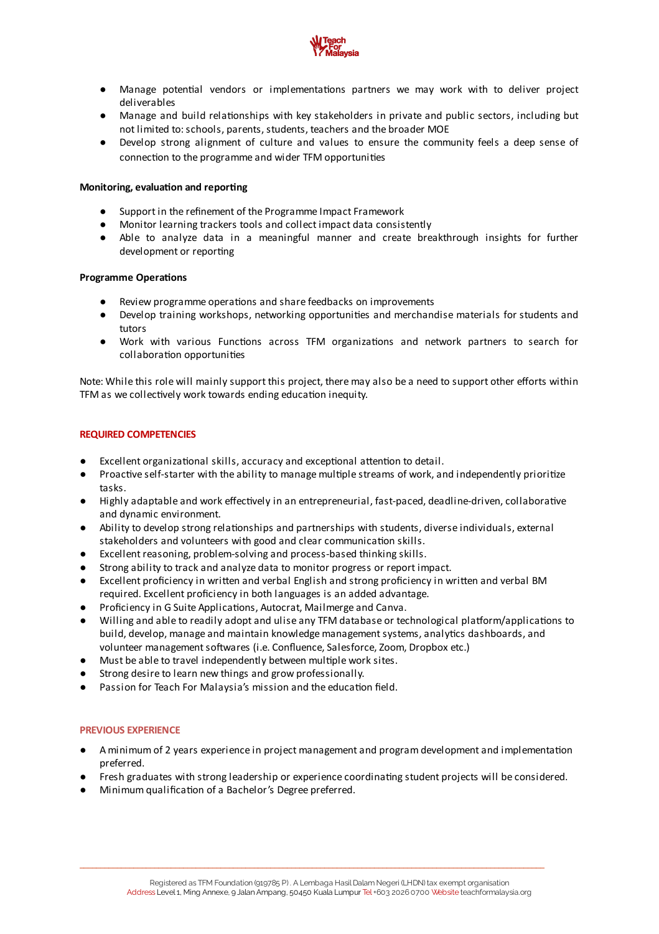

- Manage potential vendors or implementations partners we may work with to deliver project deliverables
- Manage and build relationships with key stakeholders in private and public sectors, including but not limited to:schools, parents, students, teachers and the broader MOE
- Develop strong alignment of culture and values to ensure the community feels a deep sense of connection to the programme and wider TFM opportunities

# **Monitoring, evaluation and reporting**

- Support in the refinement of the Programme Impact Framework
- Monitor learning trackers tools and collect impact data consistently
- Able to analyze data in a meaningful manner and create breakthrough insights for further development or reporting

#### **Programme Operations**

- Review programme operations and share feedbacks on improvements
- Develop training workshops, networking opportunities and merchandise materials for students and tutors
- Work with various Functions across TFM organizations and network partners to search for collaboration opportunities

Note: While this role will mainly support this project, there may also be a need to support other efforts within TFM as we collectively work towards ending education inequity.

# **REQUIRED COMPETENCIES**

- $\bullet$  Excellent organizational skills, accuracy and exceptional attention to detail.
- Proactive self-starter with the ability to manage multiple streams of work, and independently prioritize tasks.
- Highly adaptable and work effectively in an entrepreneurial, fast-paced, deadline-driven, collaborative and dynamic environment.
- Ability to develop strong relationships and partnerships with students, diverse individuals, external stakeholders and volunteers with good and clear communication skills.
- Excellent reasoning, problem-solving and process-based thinking skills.
- Strong ability to track and analyze data to monitor progress or report impact.
- Excellent proficiency in written and verbal English and strong proficiency in written and verbal BM required. Excellent proficiency in both languages is an added advantage.
- Proficiency in G Suite Applications, Autocrat, Mailmerge and Canva.
- Willing and able to readily adopt and ulise any TFM database or technological platform/applications to build, develop, manage and maintain knowledge management systems, analytics dashboards, and volunteer management softwares (i.e. Confluence, Salesforce, Zoom, Dropbox etc.)
- Must be able to travel independently between multiple work sites.
- Strong desire to learn new things and grow professionally.
- Passion for Teach For Malaysia's mission and the education field.

#### **PREVIOUS EXPERIENCE**

- A minimum of 2 years experience in project management and program development and implementation preferred.
- Fresh graduates with strong leadership or experience coordinating student projects will be considered.
- Minimum qualification of a Bachelor's Degree preferred.